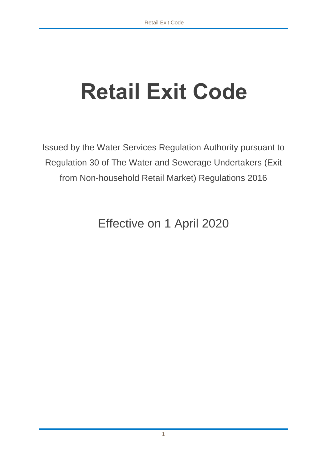# **Retail Exit Code**

Issued by the Water Services Regulation Authority pursuant to Regulation 30 of The Water and Sewerage Undertakers (Exit from Non-household Retail Market) Regulations 2016

Effective on 1 April 2020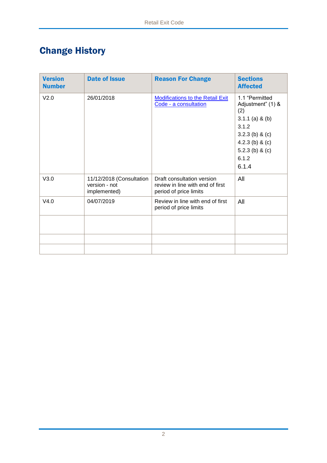# Change History

| <b>Version</b><br><b>Number</b> | <b>Date of Issue</b>                                      | <b>Reason For Change</b>                                                                 | <b>Sections</b><br><b>Affected</b>                                                                                                                  |
|---------------------------------|-----------------------------------------------------------|------------------------------------------------------------------------------------------|-----------------------------------------------------------------------------------------------------------------------------------------------------|
| V <sub>2.0</sub>                | 26/01/2018                                                | <b>Modifications to the Retail Exit</b><br>Code - a consultation                         | 1.1 "Permitted<br>Adjustment" (1) &<br>(2)<br>$3.1.1$ (a) & (b)<br>3.1.2<br>3.2.3 (b) & (c)<br>4.2.3 (b) & (c)<br>5.2.3 (b) & (c)<br>6.1.2<br>6.1.4 |
| V3.0                            | 11/12/2018 (Consultation<br>version - not<br>implemented) | Draft consultation version<br>review in line with end of first<br>period of price limits | All                                                                                                                                                 |
| V4.0                            | 04/07/2019                                                | Review in line with end of first<br>period of price limits                               | All                                                                                                                                                 |
|                                 |                                                           |                                                                                          |                                                                                                                                                     |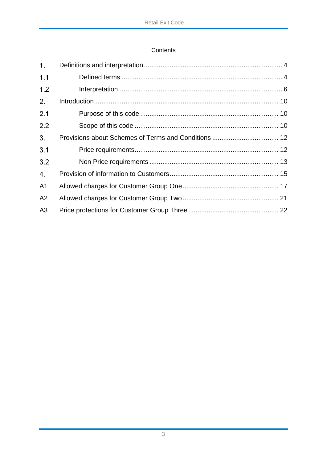# Contents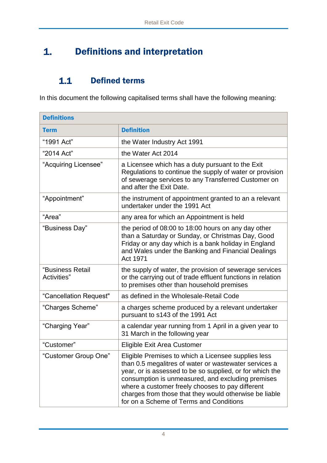#### <span id="page-3-0"></span>Definitions and interpretation  $1.$

#### $1.1$ Defined terms

<span id="page-3-1"></span>In this document the following capitalised terms shall have the following meaning:

| <b>Definitions</b>              |                                                                                                                                                                                                                                                                                                                                                                                        |
|---------------------------------|----------------------------------------------------------------------------------------------------------------------------------------------------------------------------------------------------------------------------------------------------------------------------------------------------------------------------------------------------------------------------------------|
| <b>Term</b>                     | <b>Definition</b>                                                                                                                                                                                                                                                                                                                                                                      |
| "1991 Act"                      | the Water Industry Act 1991                                                                                                                                                                                                                                                                                                                                                            |
| "2014 Act"                      | the Water Act 2014                                                                                                                                                                                                                                                                                                                                                                     |
| "Acquiring Licensee"            | a Licensee which has a duty pursuant to the Exit<br>Regulations to continue the supply of water or provision<br>of sewerage services to any Transferred Customer on<br>and after the Exit Date.                                                                                                                                                                                        |
| "Appointment"                   | the instrument of appointment granted to an a relevant<br>undertaker under the 1991 Act                                                                                                                                                                                                                                                                                                |
| "Area"                          | any area for which an Appointment is held                                                                                                                                                                                                                                                                                                                                              |
| "Business Day"                  | the period of 08:00 to 18:00 hours on any day other<br>than a Saturday or Sunday, or Christmas Day, Good<br>Friday or any day which is a bank holiday in England<br>and Wales under the Banking and Financial Dealings<br>Act 1971                                                                                                                                                     |
| "Business Retail<br>Activities" | the supply of water, the provision of sewerage services<br>or the carrying out of trade effluent functions in relation<br>to premises other than household premises                                                                                                                                                                                                                    |
| "Cancellation Request"          | as defined in the Wholesale-Retail Code                                                                                                                                                                                                                                                                                                                                                |
| "Charges Scheme"                | a charges scheme produced by a relevant undertaker<br>pursuant to s143 of the 1991 Act                                                                                                                                                                                                                                                                                                 |
| "Charging Year"                 | a calendar year running from 1 April in a given year to<br>31 March in the following year                                                                                                                                                                                                                                                                                              |
| "Customer"                      | Eligible Exit Area Customer                                                                                                                                                                                                                                                                                                                                                            |
| "Customer Group One"            | Eligible Premises to which a Licensee supplies less<br>than 0.5 megalitres of water or wastewater services a<br>year, or is assessed to be so supplied, or for which the<br>consumption is unmeasured, and excluding premises<br>where a customer freely chooses to pay different<br>charges from those that they would otherwise be liable<br>for on a Scheme of Terms and Conditions |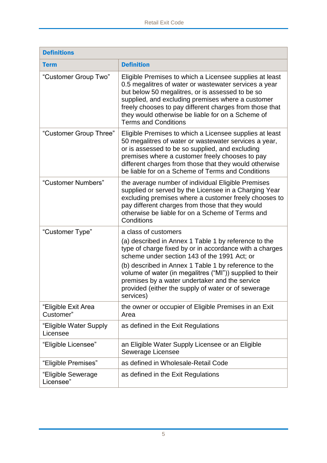| <b>Definitions</b>                 |                                                                                                                                                                                                                                                                                                                                                                                                                                   |  |
|------------------------------------|-----------------------------------------------------------------------------------------------------------------------------------------------------------------------------------------------------------------------------------------------------------------------------------------------------------------------------------------------------------------------------------------------------------------------------------|--|
| <b>Term</b>                        | <b>Definition</b>                                                                                                                                                                                                                                                                                                                                                                                                                 |  |
| "Customer Group Two"               | Eligible Premises to which a Licensee supplies at least<br>0.5 megalitres of water or wastewater services a year<br>but below 50 megalitres, or is assessed to be so<br>supplied, and excluding premises where a customer<br>freely chooses to pay different charges from those that<br>they would otherwise be liable for on a Scheme of<br><b>Terms and Conditions</b>                                                          |  |
| "Customer Group Three"             | Eligible Premises to which a Licensee supplies at least<br>50 megalitres of water or wastewater services a year,<br>or is assessed to be so supplied, and excluding<br>premises where a customer freely chooses to pay<br>different charges from those that they would otherwise<br>be liable for on a Scheme of Terms and Conditions                                                                                             |  |
| "Customer Numbers"                 | the average number of individual Eligible Premises<br>supplied or served by the Licensee in a Charging Year<br>excluding premises where a customer freely chooses to<br>pay different charges from those that they would<br>otherwise be liable for on a Scheme of Terms and<br>Conditions                                                                                                                                        |  |
| "Customer Type"                    | a class of customers<br>(a) described in Annex 1 Table 1 by reference to the<br>type of charge fixed by or in accordance with a charges<br>scheme under section 143 of the 1991 Act; or<br>(b) described in Annex 1 Table 1 by reference to the<br>volume of water (in megalitres ("MI")) supplied to their<br>premises by a water undertaker and the service<br>provided (either the supply of water or of sewerage<br>services) |  |
| "Eligible Exit Area<br>Customer"   | the owner or occupier of Eligible Premises in an Exit<br>Area                                                                                                                                                                                                                                                                                                                                                                     |  |
| "Eligible Water Supply<br>Licensee | as defined in the Exit Regulations                                                                                                                                                                                                                                                                                                                                                                                                |  |
| "Eligible Licensee"                | an Eligible Water Supply Licensee or an Eligible<br>Sewerage Licensee                                                                                                                                                                                                                                                                                                                                                             |  |
| "Eligible Premises"                | as defined in Wholesale-Retail Code                                                                                                                                                                                                                                                                                                                                                                                               |  |
| "Eligible Sewerage<br>Licensee"    | as defined in the Exit Regulations                                                                                                                                                                                                                                                                                                                                                                                                |  |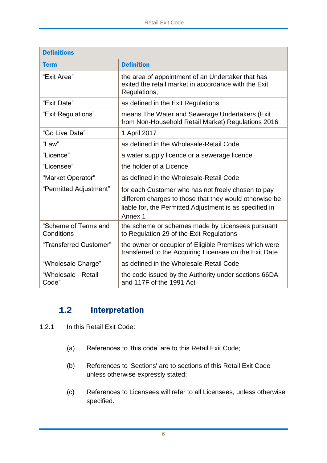| <b>Definitions</b>                 |                                                                                                                                                                                     |  |
|------------------------------------|-------------------------------------------------------------------------------------------------------------------------------------------------------------------------------------|--|
| <b>Term</b>                        | <b>Definition</b>                                                                                                                                                                   |  |
| "Exit Area"                        | the area of appointment of an Undertaker that has<br>exited the retail market in accordance with the Exit<br>Regulations;                                                           |  |
| "Exit Date"                        | as defined in the Exit Regulations                                                                                                                                                  |  |
| "Exit Regulations"                 | means The Water and Sewerage Undertakers (Exit<br>from Non-Household Retail Market) Regulations 2016                                                                                |  |
| "Go Live Date"                     | 1 April 2017                                                                                                                                                                        |  |
| "Law"                              | as defined in the Wholesale-Retail Code                                                                                                                                             |  |
| "Licence"                          | a water supply licence or a sewerage licence                                                                                                                                        |  |
| "Licensee"                         | the holder of a Licence                                                                                                                                                             |  |
| "Market Operator"                  | as defined in the Wholesale-Retail Code                                                                                                                                             |  |
| "Permitted Adjustment"             | for each Customer who has not freely chosen to pay<br>different charges to those that they would otherwise be<br>liable for, the Permitted Adjustment is as specified in<br>Annex 1 |  |
| "Scheme of Terms and<br>Conditions | the scheme or schemes made by Licensees pursuant<br>to Regulation 29 of the Exit Regulations                                                                                        |  |
| "Transferred Customer"             | the owner or occupier of Eligible Premises which were<br>transferred to the Acquiring Licensee on the Exit Date                                                                     |  |
| "Wholesale Charge"                 | as defined in the Wholesale-Retail Code                                                                                                                                             |  |
| "Wholesale - Retail<br>Code"       | the code issued by the Authority under sections 66DA<br>and 117F of the 1991 Act                                                                                                    |  |

#### <span id="page-5-0"></span> $1.2$ Interpretation

- 1.2.1 In this Retail Exit Code:
	- (a) References to 'this code' are to this Retail Exit Code;
	- (b) References to 'Sections' are to sections of this Retail Exit Code unless otherwise expressly stated;
	- (c) References to Licensees will refer to all Licensees, unless otherwise specified.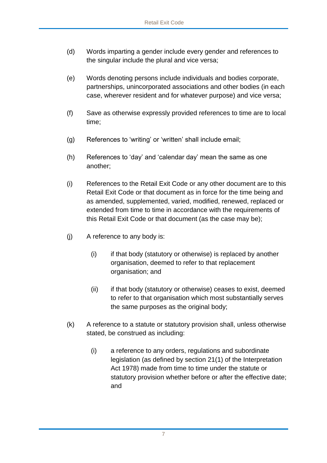- (d) Words imparting a gender include every gender and references to the singular include the plural and vice versa;
- (e) Words denoting persons include individuals and bodies corporate, partnerships, unincorporated associations and other bodies (in each case, wherever resident and for whatever purpose) and vice versa;
- (f) Save as otherwise expressly provided references to time are to local time;
- (g) References to 'writing' or 'written' shall include email;
- (h) References to 'day' and 'calendar day' mean the same as one another;
- (i) References to the Retail Exit Code or any other document are to this Retail Exit Code or that document as in force for the time being and as amended, supplemented, varied, modified, renewed, replaced or extended from time to time in accordance with the requirements of this Retail Exit Code or that document (as the case may be);
- (j) A reference to any body is:
	- (i) if that body (statutory or otherwise) is replaced by another organisation, deemed to refer to that replacement organisation; and
	- (ii) if that body (statutory or otherwise) ceases to exist, deemed to refer to that organisation which most substantially serves the same purposes as the original body;
- (k) A reference to a statute or statutory provision shall, unless otherwise stated, be construed as including:
	- (i) a reference to any orders, regulations and subordinate legislation (as defined by section 21(1) of the Interpretation Act 1978) made from time to time under the statute or statutory provision whether before or after the effective date; and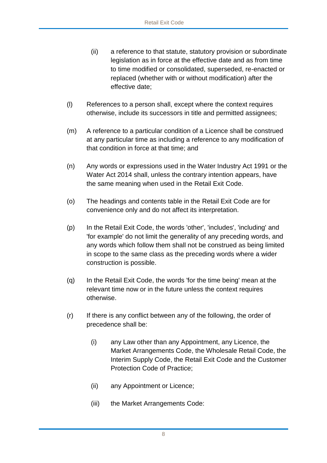- (ii) a reference to that statute, statutory provision or subordinate legislation as in force at the effective date and as from time to time modified or consolidated, superseded, re-enacted or replaced (whether with or without modification) after the effective date;
- (l) References to a person shall, except where the context requires otherwise, include its successors in title and permitted assignees;
- (m) A reference to a particular condition of a Licence shall be construed at any particular time as including a reference to any modification of that condition in force at that time; and
- (n) Any words or expressions used in the Water Industry Act 1991 or the Water Act 2014 shall, unless the contrary intention appears, have the same meaning when used in the Retail Exit Code.
- (o) The headings and contents table in the Retail Exit Code are for convenience only and do not affect its interpretation.
- (p) In the Retail Exit Code, the words 'other', 'includes', 'including' and 'for example' do not limit the generality of any preceding words, and any words which follow them shall not be construed as being limited in scope to the same class as the preceding words where a wider construction is possible.
- (q) In the Retail Exit Code, the words 'for the time being' mean at the relevant time now or in the future unless the context requires otherwise.
- (r) If there is any conflict between any of the following, the order of precedence shall be:
	- (i) any Law other than any Appointment, any Licence, the Market Arrangements Code, the Wholesale Retail Code, the Interim Supply Code, the Retail Exit Code and the Customer Protection Code of Practice;
	- (ii) any Appointment or Licence;
	- (iii) the Market Arrangements Code: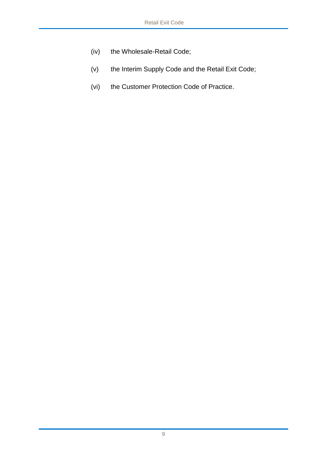- (iv) the Wholesale-Retail Code;
- (v) the Interim Supply Code and the Retail Exit Code;
- (vi) the Customer Protection Code of Practice.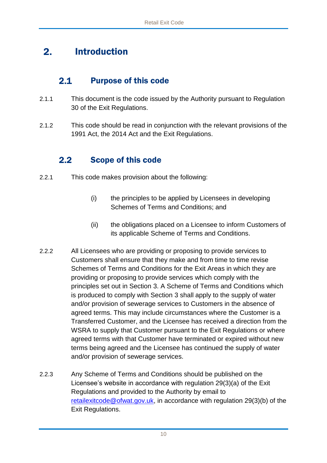#### <span id="page-9-0"></span> $2.$ Introduction

#### $2.1$ Purpose of this code

- <span id="page-9-1"></span>2.1.1 This document is the code issued by the Authority pursuant to Regulation 30 of the Exit Regulations.
- 2.1.2 This code should be read in conjunction with the relevant provisions of the 1991 Act, the 2014 Act and the Exit Regulations.

#### <span id="page-9-2"></span> $2.2$ Scope of this code

- 2.2.1 This code makes provision about the following:
	- (i) the principles to be applied by Licensees in developing Schemes of Terms and Conditions; and
	- (ii) the obligations placed on a Licensee to inform Customers of its applicable Scheme of Terms and Conditions.
- 2.2.2 All Licensees who are providing or proposing to provide services to Customers shall ensure that they make and from time to time revise Schemes of Terms and Conditions for the Exit Areas in which they are providing or proposing to provide services which comply with the principles set out in Section 3. A Scheme of Terms and Conditions which is produced to comply with Section 3 shall apply to the supply of water and/or provision of sewerage services to Customers in the absence of agreed terms. This may include circumstances where the Customer is a Transferred Customer, and the Licensee has received a direction from the WSRA to supply that Customer pursuant to the Exit Regulations or where agreed terms with that Customer have terminated or expired without new terms being agreed and the Licensee has continued the supply of water and/or provision of sewerage services.
- 2.2.3 Any Scheme of Terms and Conditions should be published on the Licensee's website in accordance with regulation 29(3)(a) of the Exit Regulations and provided to the Authority by email to [retailexitcode@ofwat.gov.uk,](mailto:retailexitcode@ofwat.gov.uk) in accordance with regulation 29(3)(b) of the Exit Regulations.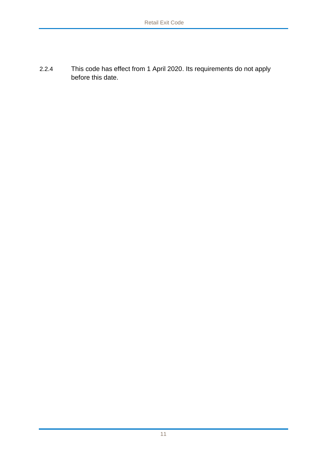2.2.4 This code has effect from 1 April 2020. Its requirements do not apply before this date.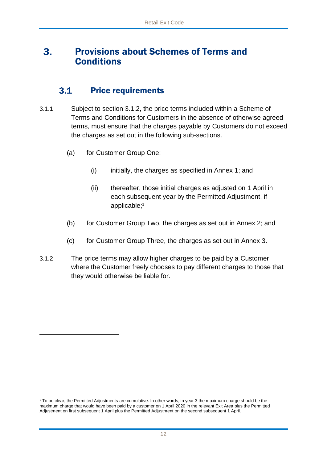### <span id="page-11-0"></span>Provisions about Schemes of Terms and  $3.$ **Conditions**

#### $3.1$ Price requirements

- <span id="page-11-1"></span>3.1.1 Subject to section 3.1.2, the price terms included within a Scheme of Terms and Conditions for Customers in the absence of otherwise agreed terms, must ensure that the charges payable by Customers do not exceed the charges as set out in the following sub-sections.
	- (a) for Customer Group One;

-

- $(i)$  initially, the charges as specified in Annex 1; and
- (ii) thereafter, those initial charges as adjusted on 1 April in each subsequent year by the Permitted Adjustment, if applicable; 1
- (b) for Customer Group Two, the charges as set out in Annex 2; and
- (c) for Customer Group Three, the charges as set out in Annex 3.
- 3.1.2 The price terms may allow higher charges to be paid by a Customer where the Customer freely chooses to pay different charges to those that they would otherwise be liable for.

<sup>&</sup>lt;sup>1</sup> To be clear, the Permitted Adjustments are cumulative. In other words, in year 3 the maximum charge should be the maximum charge that would have been paid by a customer on 1 April 2020 in the relevant Exit Area plus the Permitted Adjustment on first subsequent 1 April plus the Permitted Adjustment on the second subsequent 1 April.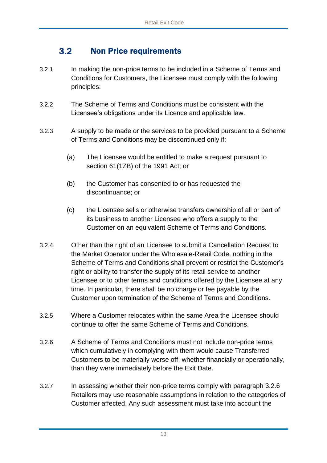#### $3.2<sub>2</sub>$ Non Price requirements

- <span id="page-12-0"></span>3.2.1 In making the non-price terms to be included in a Scheme of Terms and Conditions for Customers, the Licensee must comply with the following principles:
- 3.2.2 The Scheme of Terms and Conditions must be consistent with the Licensee's obligations under its Licence and applicable law.
- 3.2.3 A supply to be made or the services to be provided pursuant to a Scheme of Terms and Conditions may be discontinued only if:
	- (a) The Licensee would be entitled to make a request pursuant to section 61(1ZB) of the 1991 Act; or
	- (b) the Customer has consented to or has requested the discontinuance; or
	- (c) the Licensee sells or otherwise transfers ownership of all or part of its business to another Licensee who offers a supply to the Customer on an equivalent Scheme of Terms and Conditions.
- 3.2.4 Other than the right of an Licensee to submit a Cancellation Request to the Market Operator under the Wholesale-Retail Code, nothing in the Scheme of Terms and Conditions shall prevent or restrict the Customer's right or ability to transfer the supply of its retail service to another Licensee or to other terms and conditions offered by the Licensee at any time. In particular, there shall be no charge or fee payable by the Customer upon termination of the Scheme of Terms and Conditions.
- 3.2.5 Where a Customer relocates within the same Area the Licensee should continue to offer the same Scheme of Terms and Conditions.
- 3.2.6 A Scheme of Terms and Conditions must not include non-price terms which cumulatively in complying with them would cause Transferred Customers to be materially worse off, whether financially or operationally, than they were immediately before the Exit Date.
- 3.2.7 In assessing whether their non-price terms comply with paragraph 3.2.6 Retailers may use reasonable assumptions in relation to the categories of Customer affected. Any such assessment must take into account the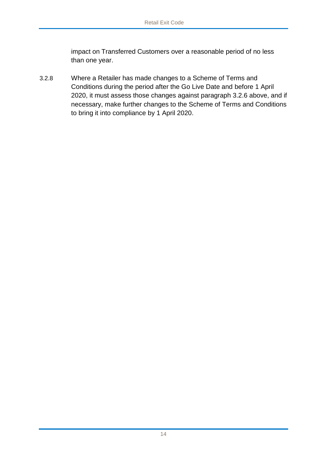impact on Transferred Customers over a reasonable period of no less than one year.

3.2.8 Where a Retailer has made changes to a Scheme of Terms and Conditions during the period after the Go Live Date and before 1 April 2020, it must assess those changes against paragraph 3.2.6 above, and if necessary, make further changes to the Scheme of Terms and Conditions to bring it into compliance by 1 April 2020.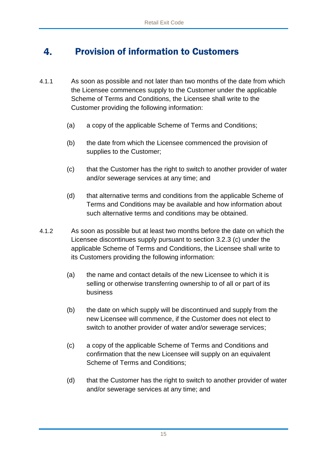#### <span id="page-14-0"></span>Provision of information to Customers  $4<sub>1</sub>$

- 4.1.1 As soon as possible and not later than two months of the date from which the Licensee commences supply to the Customer under the applicable Scheme of Terms and Conditions, the Licensee shall write to the Customer providing the following information:
	- (a) a copy of the applicable Scheme of Terms and Conditions;
	- (b) the date from which the Licensee commenced the provision of supplies to the Customer;
	- (c) that the Customer has the right to switch to another provider of water and/or sewerage services at any time; and
	- (d) that alternative terms and conditions from the applicable Scheme of Terms and Conditions may be available and how information about such alternative terms and conditions may be obtained.
- 4.1.2 As soon as possible but at least two months before the date on which the Licensee discontinues supply pursuant to section 3.2.3 (c) under the applicable Scheme of Terms and Conditions, the Licensee shall write to its Customers providing the following information:
	- (a) the name and contact details of the new Licensee to which it is selling or otherwise transferring ownership to of all or part of its business
	- (b) the date on which supply will be discontinued and supply from the new Licensee will commence, if the Customer does not elect to switch to another provider of water and/or sewerage services;
	- (c) a copy of the applicable Scheme of Terms and Conditions and confirmation that the new Licensee will supply on an equivalent Scheme of Terms and Conditions;
	- (d) that the Customer has the right to switch to another provider of water and/or sewerage services at any time; and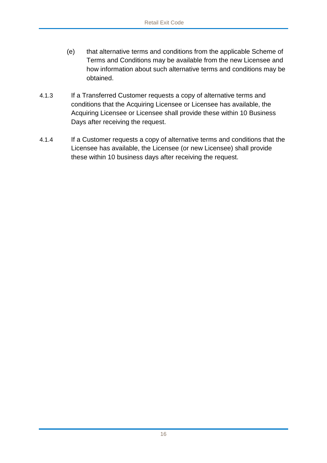- (e) that alternative terms and conditions from the applicable Scheme of Terms and Conditions may be available from the new Licensee and how information about such alternative terms and conditions may be obtained.
- 4.1.3 If a Transferred Customer requests a copy of alternative terms and conditions that the Acquiring Licensee or Licensee has available, the Acquiring Licensee or Licensee shall provide these within 10 Business Days after receiving the request.
- 4.1.4 If a Customer requests a copy of alternative terms and conditions that the Licensee has available, the Licensee (or new Licensee) shall provide these within 10 business days after receiving the request.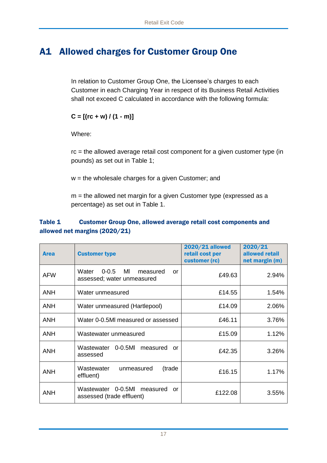# <span id="page-16-0"></span>A1 Allowed charges for Customer Group One

In relation to Customer Group One, the Licensee's charges to each Customer in each Charging Year in respect of its Business Retail Activities shall not exceed C calculated in accordance with the following formula:

 $C = [(rc + w)/(1 - m)]$ 

Where:

rc = the allowed average retail cost component for a given customer type (in pounds) as set out in Table 1;

w = the wholesale charges for a given Customer; and

m = the allowed net margin for a given Customer type (expressed as a percentage) as set out in Table 1.

# Table 1 Customer Group One, allowed average retail cost components and allowed net margins (2020/21)

| <b>Area</b> | <b>Customer type</b>                                                      | <b>2020/21 allowed</b><br>retail cost per<br>customer (rc) | 2020/21<br>allowed retail<br>net margin (m) |
|-------------|---------------------------------------------------------------------------|------------------------------------------------------------|---------------------------------------------|
| <b>AFW</b>  | Water<br>$0 - 0.5$<br>MI<br>measured<br>or<br>assessed; water unmeasured  | £49.63                                                     | 2.94%                                       |
| <b>ANH</b>  | Water unmeasured                                                          | £14.55                                                     | 1.54%                                       |
| <b>ANH</b>  | Water unmeasured (Hartlepool)                                             | £14.09                                                     | 2.06%                                       |
| <b>ANH</b>  | Water 0-0.5MI measured or assessed                                        | £46.11                                                     | 3.76%                                       |
| <b>ANH</b>  | Wastewater unmeasured                                                     | £15.09                                                     | 1.12%                                       |
| <b>ANH</b>  | Wastewater<br>$0 - 0.5$ MI<br>measured<br>or<br>assessed                  | £42.35                                                     | 3.26%                                       |
| <b>ANH</b>  | Wastewater<br>(trade<br>unmeasured<br>effluent)                           | £16.15                                                     | 1.17%                                       |
| ANH         | $0 - 0.5$ MI<br>Wastewater<br>measured<br>or<br>assessed (trade effluent) | £122.08                                                    | 3.55%                                       |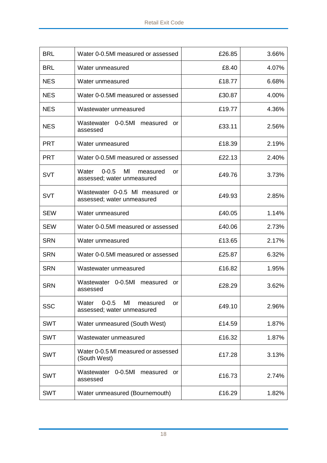| <b>BRL</b> | Water 0-0.5MI measured or assessed                                       | £26.85 | 3.66% |
|------------|--------------------------------------------------------------------------|--------|-------|
| <b>BRL</b> | Water unmeasured                                                         | £8.40  | 4.07% |
| <b>NES</b> | Water unmeasured                                                         | £18.77 | 6.68% |
| <b>NES</b> | Water 0-0.5MI measured or assessed                                       | £30.87 | 4.00% |
| <b>NES</b> | Wastewater unmeasured                                                    | £19.77 | 4.36% |
| <b>NES</b> | Wastewater 0-0.5MI measured or<br>assessed                               | £33.11 | 2.56% |
| <b>PRT</b> | Water unmeasured                                                         | £18.39 | 2.19% |
| <b>PRT</b> | Water 0-0.5MI measured or assessed                                       | £22.13 | 2.40% |
| <b>SVT</b> | $0 - 0.5$<br>MI<br>Water<br>measured<br>or<br>assessed; water unmeasured | £49.76 | 3.73% |
| <b>SVT</b> | Wastewater 0-0.5 MI measured or<br>assessed; water unmeasured            | £49.93 | 2.85% |
| <b>SEW</b> | Water unmeasured                                                         | £40.05 | 1.14% |
| <b>SEW</b> | Water 0-0.5MI measured or assessed                                       | £40.06 | 2.73% |
| <b>SRN</b> | Water unmeasured                                                         | £13.65 | 2.17% |
| <b>SRN</b> | Water 0-0.5MI measured or assessed                                       | £25.87 | 6.32% |
| <b>SRN</b> | Wastewater unmeasured                                                    | £16.82 | 1.95% |
| <b>SRN</b> | $0 - 0.5$ MI<br>Wastewater<br>measured<br>or<br>assessed                 | £28.29 | 3.62% |
| <b>SSC</b> | $0 - 0.5$<br>MI<br>Water<br>measured<br>or<br>assessed; water unmeasured | £49.10 | 2.96% |
| <b>SWT</b> | Water unmeasured (South West)                                            | £14.59 | 1.87% |
| <b>SWT</b> | Wastewater unmeasured                                                    | £16.32 | 1.87% |
| <b>SWT</b> | Water 0-0.5 MI measured or assessed<br>(South West)                      | £17.28 | 3.13% |
| <b>SWT</b> | 0-0.5MI measured or<br>Wastewater<br>assessed                            | £16.73 | 2.74% |
| <b>SWT</b> | Water unmeasured (Bournemouth)                                           | £16.29 | 1.82% |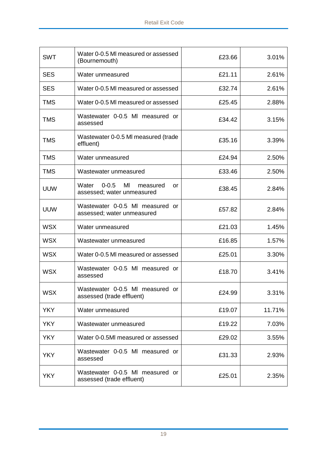| <b>SWT</b> | Water 0-0.5 MI measured or assessed<br>(Bournemouth)                     | £23.66 | 3.01%  |
|------------|--------------------------------------------------------------------------|--------|--------|
| <b>SES</b> | Water unmeasured                                                         | £21.11 | 2.61%  |
| <b>SES</b> | Water 0-0.5 MI measured or assessed                                      | £32.74 | 2.61%  |
| <b>TMS</b> | Water 0-0.5 MI measured or assessed                                      | £25.45 | 2.88%  |
| <b>TMS</b> | Wastewater 0-0.5 MI measured or<br>assessed                              | £34.42 | 3.15%  |
| <b>TMS</b> | Wastewater 0-0.5 MI measured (trade<br>effluent)                         | £35.16 | 3.39%  |
| <b>TMS</b> | Water unmeasured                                                         | £24.94 | 2.50%  |
| <b>TMS</b> | Wastewater unmeasured                                                    | £33.46 | 2.50%  |
| <b>UUW</b> | $0 - 0.5$<br>MI<br>Water<br>measured<br>or<br>assessed; water unmeasured | £38.45 | 2.84%  |
| <b>UUW</b> | Wastewater 0-0.5 MI measured or<br>assessed; water unmeasured            | £57.82 | 2.84%  |
| <b>WSX</b> | Water unmeasured                                                         | £21.03 | 1.45%  |
| <b>WSX</b> | Wastewater unmeasured                                                    | £16.85 | 1.57%  |
| <b>WSX</b> | Water 0-0.5 MI measured or assessed                                      | £25.01 | 3.30%  |
| <b>WSX</b> | Wastewater 0-0.5 MI measured or<br>assessed                              | £18.70 | 3.41%  |
| <b>WSX</b> | Wastewater 0-0.5 MI measured or<br>assessed (trade effluent)             | £24.99 | 3.31%  |
| <b>YKY</b> | Water unmeasured                                                         | £19.07 | 11.71% |
| <b>YKY</b> | Wastewater unmeasured                                                    | £19.22 | 7.03%  |
| <b>YKY</b> | Water 0-0.5MI measured or assessed                                       | £29.02 | 3.55%  |
| <b>YKY</b> | Wastewater 0-0.5 MI measured or<br>assessed                              | £31.33 | 2.93%  |
| <b>YKY</b> | Wastewater 0-0.5 MI measured or<br>assessed (trade effluent)             | £25.01 | 2.35%  |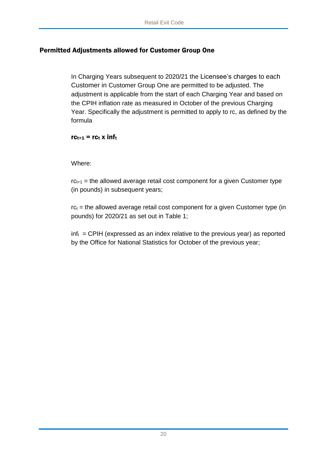# Permitted Adjustments allowed for Customer Group One

In Charging Years subsequent to 2020/21 the Licensee's charges to each Customer in Customer Group One are permitted to be adjusted. The adjustment is applicable from the start of each Charging Year and based on the CPIH inflation rate as measured in October of the previous Charging Year. Specifically the adjustment is permitted to apply to rc, as defined by the formula

## $rc_{t+1}$  =  $rc_t$  x inf<sub>t</sub>

## Where:

 $rc_{t+1}$  = the allowed average retail cost component for a given Customer type (in pounds) in subsequent years;

 $rc<sub>t</sub>$  = the allowed average retail cost component for a given Customer type (in pounds) for 2020/21 as set out in Table 1;

 $inf<sub>t</sub> = CPIH$  (expressed as an index relative to the previous year) as reported by the Office for National Statistics for October of the previous year;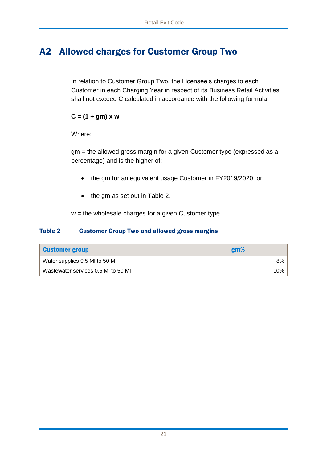# <span id="page-20-0"></span>A2 Allowed charges for Customer Group Two

In relation to Customer Group Two, the Licensee's charges to each Customer in each Charging Year in respect of its Business Retail Activities shall not exceed C calculated in accordance with the following formula:

# **C = (1 + gm) x w**

Where:

gm = the allowed gross margin for a given Customer type (expressed as a percentage) and is the higher of:

- the gm for an equivalent usage Customer in FY2019/2020; or
- the gm as set out in Table 2.

 $w =$  the wholesale charges for a given Customer type.

# Table 2 Customer Group Two and allowed gross margins

| <b>Customer group</b>               | gm% |
|-------------------------------------|-----|
| Water supplies 0.5 MI to 50 MI      | 8%  |
| Wastewater services 0.5 MI to 50 MI | 10% |